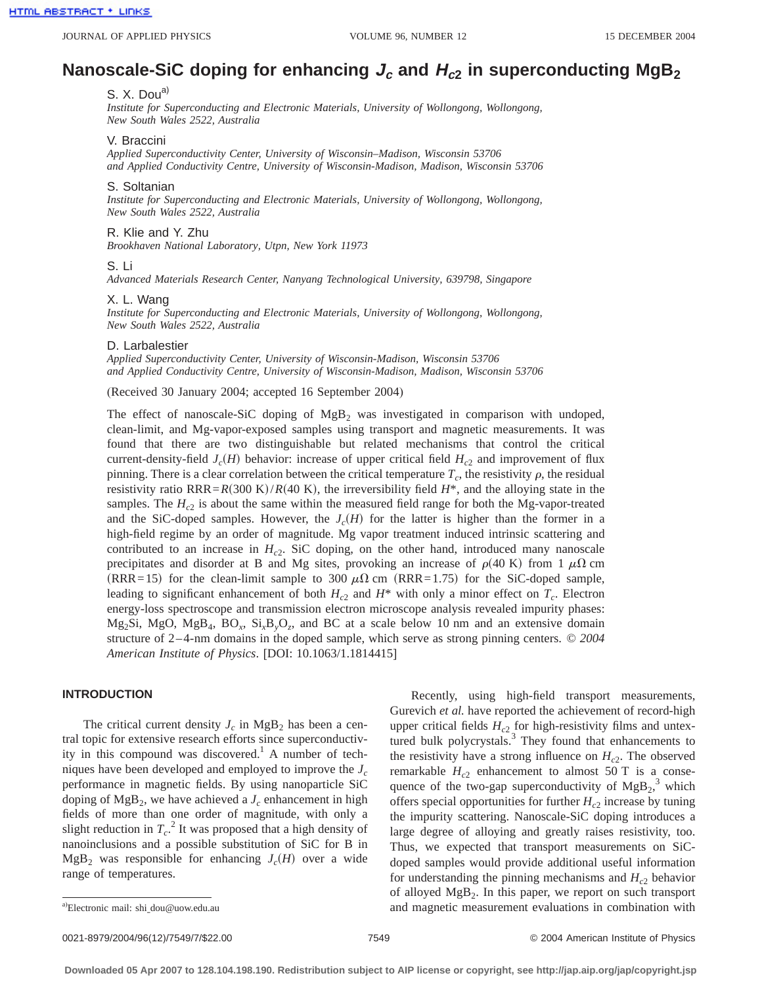# **Nanoscale-SiC doping for enhancing**  $J_c$  **and**  $H_{c2}$  **in superconducting MgB<sub>2</sub>**

# S. X. Dou<sup>a)</sup>

*Institute for Superconducting and Electronic Materials, University of Wollongong, Wollongong, New South Wales 2522, Australia*

#### V. Braccini

*Applied Superconductivity Center, University of Wisconsin–Madison, Wisconsin 53706 and Applied Conductivity Centre, University of Wisconsin-Madison, Madison, Wisconsin 53706*

#### S. Soltanian

*Institute for Superconducting and Electronic Materials, University of Wollongong, Wollongong, New South Wales 2522, Australia*

## R. Klie and Y. Zhu

*Brookhaven National Laboratory, Utpn, New York 11973*

#### S. Li

*Advanced Materials Research Center, Nanyang Technological University, 639798, Singapore*

#### X. L. Wang

*Institute for Superconducting and Electronic Materials, University of Wollongong, Wollongong, New South Wales 2522, Australia*

#### D. Larbalestier

*Applied Superconductivity Center, University of Wisconsin-Madison, Wisconsin 53706 and Applied Conductivity Centre, University of Wisconsin-Madison, Madison, Wisconsin 53706*

(Received 30 January 2004; accepted 16 September 2004)

The effect of nanoscale-SiC doping of  $MgB<sub>2</sub>$  was investigated in comparison with undoped, clean-limit, and Mg-vapor-exposed samples using transport and magnetic measurements. It was found that there are two distinguishable but related mechanisms that control the critical current-density-field  $J_c(H)$  behavior: increase of upper critical field  $H_c<sub>2</sub>$  and improvement of flux pinning. There is a clear correlation between the critical temperature  $T_c$ , the resistivity  $\rho$ , the residual resistivity ratio RRR= $R(300 \text{ K})/R(40 \text{ K})$ , the irreversibility field  $H^*$ , and the alloying state in the samples. The  $H_{c2}$  is about the same within the measured field range for both the Mg-vapor-treated and the SiC-doped samples. However, the  $J_c(H)$  for the latter is higher than the former in a high-field regime by an order of magnitude. Mg vapor treatment induced intrinsic scattering and contributed to an increase in  $H<sub>c2</sub>$ . SiC doping, on the other hand, introduced many nanoscale precipitates and disorder at B and Mg sites, provoking an increase of  $\rho(40 \text{ K})$  from 1  $\mu\Omega$  cm (RRR=15) for the clean-limit sample to 300  $\mu\Omega$  cm (RRR=1.75) for the SiC-doped sample, leading to significant enhancement of both  $H_c$ <sub>2</sub> and  $H^*$  with only a minor effect on  $T_c$ . Electron energy-loss spectroscope and transmission electron microscope analysis revealed impurity phases:  $Mg_2Si$ ,  $MgO$ ,  $MgB_4$ ,  $BO_x$ ,  $Si_xB_vO_z$ , and BC at a scale below 10 nm and an extensive domain structure of 2–4-nm domains in the doped sample, which serve as strong pinning centers. © *2004 American Institute of Physics*. [DOI: 10.1063/1.1814415]

## **INTRODUCTION**

The critical current density  $J_c$  in MgB<sub>2</sub> has been a central topic for extensive research efforts since superconductivity in this compound was discovered.<sup>1</sup> A number of techniques have been developed and employed to improve the  $J_c$ performance in magnetic fields. By using nanoparticle SiC doping of  $MgB_2$ , we have achieved a  $J_c$  enhancement in high fields of more than one order of magnitude, with only a slight reduction in  $T_c$ .<sup>2</sup> It was proposed that a high density of nanoinclusions and a possible substitution of SiC for B in  $MgB_2$  was responsible for enhancing  $J_c(H)$  over a wide range of temperatures.

Recently, using high-field transport measurements, Gurevich *et al.* have reported the achievement of record-high upper critical fields  $H_{c2}$  for high-resistivity films and untextured bulk polycrystals.<sup>3</sup> They found that enhancements to the resistivity have a strong influence on  $H_{c2}$ . The observed remarkable  $H_{c2}$  enhancement to almost 50 T is a consequence of the two-gap superconductivity of  $MgB_2$ ,<sup>3</sup> which offers special opportunities for further  $H_{c2}$  increase by tuning the impurity scattering. Nanoscale-SiC doping introduces a large degree of alloying and greatly raises resistivity, too. Thus, we expected that transport measurements on SiCdoped samples would provide additional useful information for understanding the pinning mechanisms and  $H_{c2}$  behavior of alloyed  $MgB<sub>2</sub>$ . In this paper, we report on such transport and magnetic measurement evaluations in combination with

a)Electronic mail: shi dou@uow.edu.au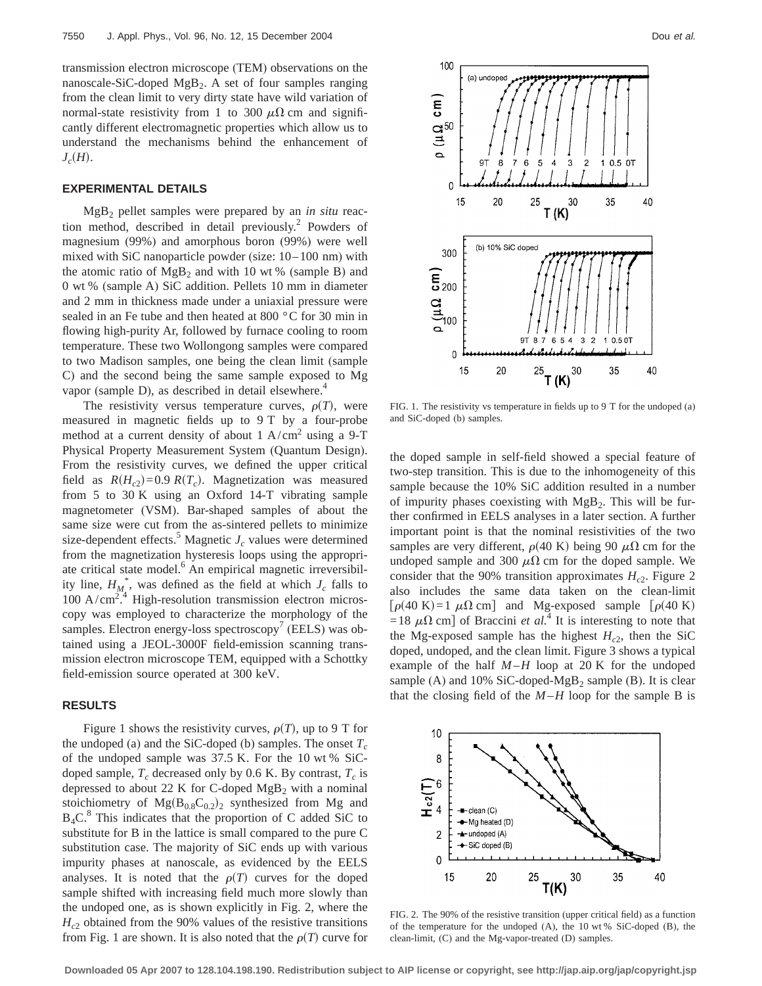transmission electron microscope (TEM) observations on the nanoscale-SiC-doped  $MgB<sub>2</sub>$ . A set of four samples ranging from the clean limit to very dirty state have wild variation of normal-state resistivity from 1 to 300  $\mu\Omega$  cm and significantly different electromagnetic properties which allow us to understand the mechanisms behind the enhancement of  $J_c(H)$ .

#### **EXPERIMENTAL DETAILS**

MgB2 pellet samples were prepared by an *in situ* reaction method, described in detail previously.<sup>2</sup> Powders of magnesium (99%) and amorphous boron (99%) were well mixed with SiC nanoparticle powder (size: 10–100 nm) with the atomic ratio of  $MgB_2$  and with 10 wt % (sample B) and 0 wt % (sample A) SiC addition. Pellets 10 mm in diameter and 2 mm in thickness made under a uniaxial pressure were sealed in an Fe tube and then heated at 800 °C for 30 min in flowing high-purity Ar, followed by furnace cooling to room temperature. These two Wollongong samples were compared to two Madison samples, one being the clean limit (sample C) and the second being the same sample exposed to Mg vapor (sample D), as described in detail elsewhere.<sup>4</sup>

The resistivity versus temperature curves,  $\rho(T)$ , were measured in magnetic fields up to 9 T by a four-probe method at a current density of about  $1 \text{ A/cm}^2$  using a 9-T Physical Property Measurement System (Quantum Design). From the resistivity curves, we defined the upper critical field as  $R(H_{c2})=0.9$   $R(T_c)$ . Magnetization was measured from 5 to 30 K using an Oxford 14-T vibrating sample magnetometer (VSM). Bar-shaped samples of about the same size were cut from the as-sintered pellets to minimize size-dependent effects.<sup>5</sup> Magnetic  $J_c$  values were determined from the magnetization hysteresis loops using the appropriate critical state model.<sup>6</sup> An empirical magnetic irreversibility line,  $H_{M_A}^*$ , was defined as the field at which  $J_c$  falls to  $100$  A/cm<sup>274</sup> High-resolution transmission electron microscopy was employed to characterize the morphology of the samples. Electron energy-loss spectroscopy<sup>7</sup> (EELS) was obtained using a JEOL-3000F field-emission scanning transmission electron microscope TEM, equipped with a Schottky field-emission source operated at 300 keV.

## **RESULTS**

Figure 1 shows the resistivity curves,  $\rho(T)$ , up to 9 T for the undoped (a) and the SiC-doped (b) samples. The onset  $T_c$ of the undoped sample was 37.5 K. For the 10 wt % SiCdoped sample,  $T_c$  decreased only by 0.6 K. By contrast,  $T_c$  is depressed to about 22 K for C-doped  $MgB<sub>2</sub>$  with a nominal stoichiometry of  $Mg(B_{0.8}C_{0.2})_2$  synthesized from Mg and  $B_4C^8$ . This indicates that the proportion of C added SiC to substitute for B in the lattice is small compared to the pure C substitution case. The majority of SiC ends up with various impurity phases at nanoscale, as evidenced by the EELS analyses. It is noted that the  $\rho(T)$  curves for the doped sample shifted with increasing field much more slowly than the undoped one, as is shown explicitly in Fig. 2, where the  $H<sub>c2</sub>$  obtained from the 90% values of the resistive transitions from Fig. 1 are shown. It is also noted that the  $\rho(T)$  curve for



FIG. 1. The resistivity vs temperature in fields up to 9 T for the undoped (a) and SiC-doped (b) samples.

the doped sample in self-field showed a special feature of two-step transition. This is due to the inhomogeneity of this sample because the 10% SiC addition resulted in a number of impurity phases coexisting with  $MgB<sub>2</sub>$ . This will be further confirmed in EELS analyses in a later section. A further important point is that the nominal resistivities of the two samples are very different,  $\rho$ (40 K) being 90  $\mu\Omega$  cm for the undoped sample and 300  $\mu\Omega$  cm for the doped sample. We consider that the 90% transition approximates  $H_c$ <sup>2</sup>. Figure 2 also includes the same data taken on the clean-limit  $\lceil \rho(40 \text{ K}) \rceil$  and Mg-exposed sample  $\lceil \rho(40 \text{ K}) \rceil$ =18  $\mu\Omega$  cm] of Braccini *et al.*<sup>4</sup> It is interesting to note that the Mg-exposed sample has the highest  $H_{c2}$ , then the SiC doped, undoped, and the clean limit. Figure 3 shows a typical example of the half  $M-H$  loop at 20 K for the undoped sample (A) and 10% SiC-doped-MgB<sub>2</sub> sample (B). It is clear that the closing field of the  $M-H$  loop for the sample B is



FIG. 2. The 90% of the resistive transition (upper critical field) as a function of the temperature for the undoped (A), the 10 wt % SiC-doped (B), the clean-limit, (C) and the Mg-vapor-treated (D) samples.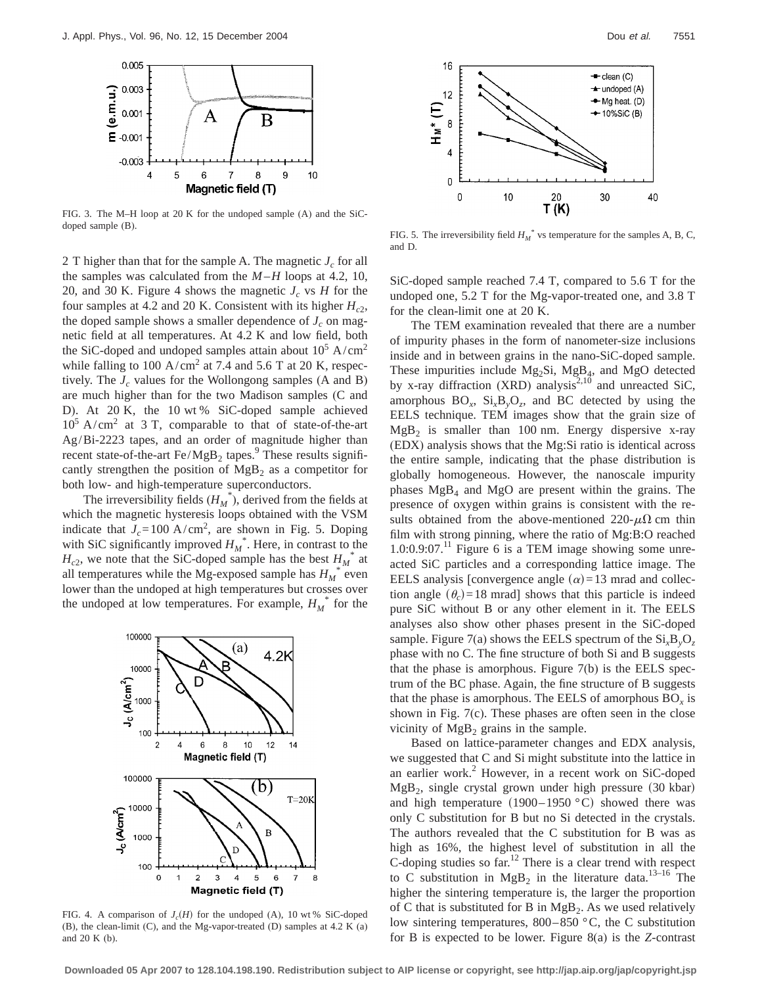

FIG. 3. The M–H loop at 20 K for the undoped sample (A) and the SiCdoped sample (B).

2 T higher than that for the sample A. The magnetic  $J_c$  for all the samples was calculated from the  $M-H$  loops at 4.2, 10, 20, and 30 K. Figure 4 shows the magnetic  $J_c$  vs *H* for the four samples at 4.2 and 20 K. Consistent with its higher  $H_{c2}$ , the doped sample shows a smaller dependence of  $J_c$  on magnetic field at all temperatures. At 4.2 K and low field, both the SiC-doped and undoped samples attain about  $10^5$  A/cm<sup>2</sup> while falling to 100 A/cm<sup>2</sup> at 7.4 and 5.6 T at 20 K, respectively. The  $J_c$  values for the Wollongong samples (A and B) are much higher than for the two Madison samples (C and D). At 20 K, the 10 wt % SiC-doped sample achieved  $10^5$  A/cm<sup>2</sup> at 3 T, comparable to that of state-of-the-art Ag/Bi-2223 tapes, and an order of magnitude higher than recent state-of-the-art  $Fe/MgB_2$  tapes.<sup>9</sup> These results significantly strengthen the position of  $MgB<sub>2</sub>$  as a competitor for both low- and high-temperature superconductors.

The irreversibility fields  $(H_M^*$ , derived from the fields at which the magnetic hysteresis loops obtained with the VSM indicate that  $J_c = 100 \text{ A/cm}^2$ , are shown in Fig. 5. Doping with SiC significantly improved  $H_M^*$ . Here, in contrast to the  $H_{c2}$ , we note that the SiC-doped sample has the best  $H_M^*$  at all temperatures while the Mg-exposed sample has  $H_M^*$  even lower than the undoped at high temperatures but crosses over the undoped at low temperatures. For example,  $H_M^*$  for the



FIG. 4. A comparison of  $J_c(H)$  for the undoped (A), 10 wt % SiC-doped (B), the clean-limit (C), and the Mg-vapor-treated (D) samples at 4.2 K (a) and 20 K (b).



FIG. 5. The irreversibility field  $H_M^*$  vs temperature for the samples A, B, C, and D.

SiC-doped sample reached 7.4 T, compared to 5.6 T for the undoped one, 5.2 T for the Mg-vapor-treated one, and 3.8 T for the clean-limit one at 20 K.

The TEM examination revealed that there are a number of impurity phases in the form of nanometer-size inclusions inside and in between grains in the nano-SiC-doped sample. These impurities include  $Mg_2Si$ ,  $Mg_4$ , and  $Mg_4O$  detected by x-ray diffraction (XRD) analysis<sup>2,10</sup> and unreacted SiC, amorphous  $BO_x$ ,  $Si_xB_yO_z$ , and BC detected by using the EELS technique. TEM images show that the grain size of  $MgB<sub>2</sub>$  is smaller than 100 nm. Energy dispersive x-ray (EDX) analysis shows that the Mg:Si ratio is identical across the entire sample, indicating that the phase distribution is globally homogeneous. However, the nanoscale impurity phases  $MgB_4$  and  $MgO$  are present within the grains. The presence of oxygen within grains is consistent with the results obtained from the above-mentioned 220- $\mu\Omega$  cm thin film with strong pinning, where the ratio of Mg:B:O reached  $1.0:0.9:07<sup>11</sup>$  Figure 6 is a TEM image showing some unreacted SiC particles and a corresponding lattice image. The EELS analysis [convergence angle  $(\alpha)$ =13 mrad and collection angle  $(\theta_c)$ =18 mrad] shows that this particle is indeed pure SiC without B or any other element in it. The EELS analyses also show other phases present in the SiC-doped sample. Figure 7(a) shows the EELS spectrum of the Si*x*B*y*O*<sup>z</sup>* phase with no C. The fine structure of both Si and B suggests that the phase is amorphous. Figure 7(b) is the EELS spectrum of the BC phase. Again, the fine structure of B suggests that the phase is amorphous. The EELS of amorphous  $BO<sub>x</sub>$  is shown in Fig. 7(c). These phases are often seen in the close vicinity of  $MgB<sub>2</sub>$  grains in the sample.

Based on lattice-parameter changes and EDX analysis, we suggested that C and Si might substitute into the lattice in an earlier work. $2$  However, in a recent work on SiC-doped  $MgB<sub>2</sub>$ , single crystal grown under high pressure (30 kbar) and high temperature  $(1900-1950 \degree C)$  showed there was only C substitution for B but no Si detected in the crystals. The authors revealed that the C substitution for B was as high as 16%, the highest level of substitution in all the C-doping studies so far.<sup>12</sup> There is a clear trend with respect to C substitution in  $MgB_2$  in the literature data.<sup>13–16</sup> The higher the sintering temperature is, the larger the proportion of C that is substituted for B in  $MgB_2$ . As we used relatively low sintering temperatures, 800–850 °C, the C substitution for B is expected to be lower. Figure 8(a) is the *Z*-contrast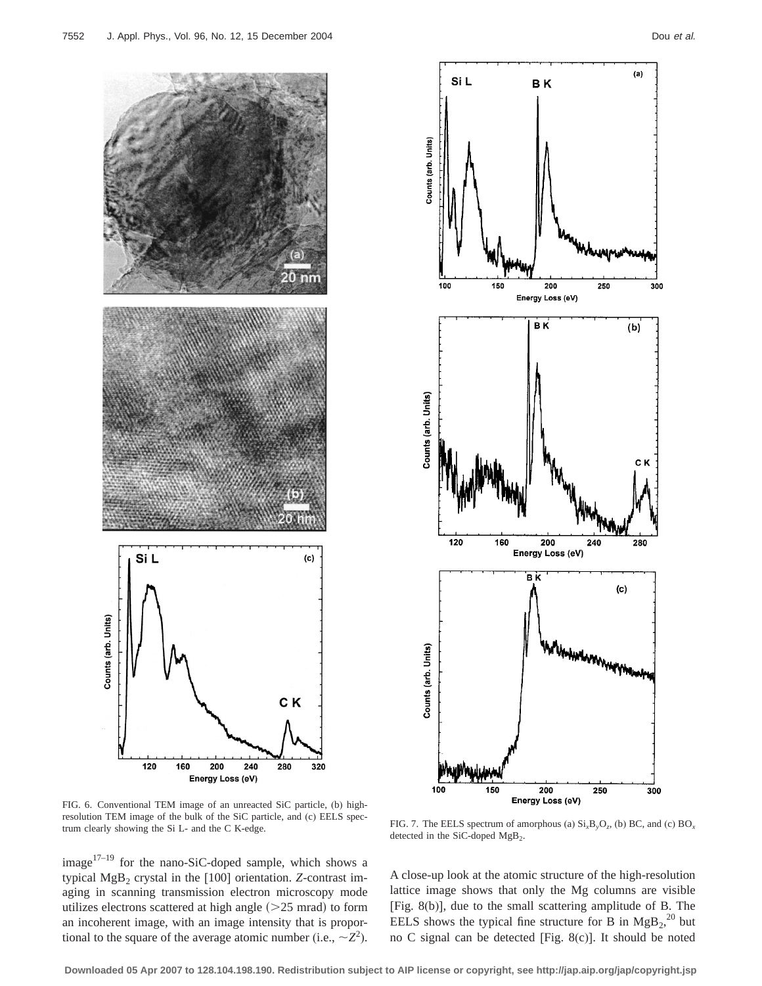



FIG. 6. Conventional TEM image of an unreacted SiC particle, (b) highresolution TEM image of the bulk of the SiC particle, and (c) EELS spec-

image $1^{7-19}$  for the nano-SiC-doped sample, which shows a typical MgB<sub>2</sub> crystal in the [100] orientation. *Z*-contrast imaging in scanning transmission electron microscopy mode utilizes electrons scattered at high angle  $(>=25$  mrad) to form an incoherent image, with an image intensity that is proportional to the square of the average atomic number (i.e.,  $\sim Z^2$ ).

trum clearly showing the Si L- and the C K-edge. FIG. 7. The EELS spectrum of amorphous (a)  $Si_xB_yO_z$ , (b) BC, and (c) BO<sub>x</sub> trum clearly showing the Si L- and the C K-edge. detected in the SiC-doped MgB<sub>2</sub>.

A close-up look at the atomic structure of the high-resolution lattice image shows that only the Mg columns are visible [Fig. 8(b)], due to the small scattering amplitude of B. The EELS shows the typical fine structure for B in  $MgB_2$ <sup>20</sup> but no C signal can be detected [Fig. 8(c)]. It should be noted

**Downloaded 05 Apr 2007 to 128.104.198.190. Redistribution subject to AIP license or copyright, see http://jap.aip.org/jap/copyright.jsp**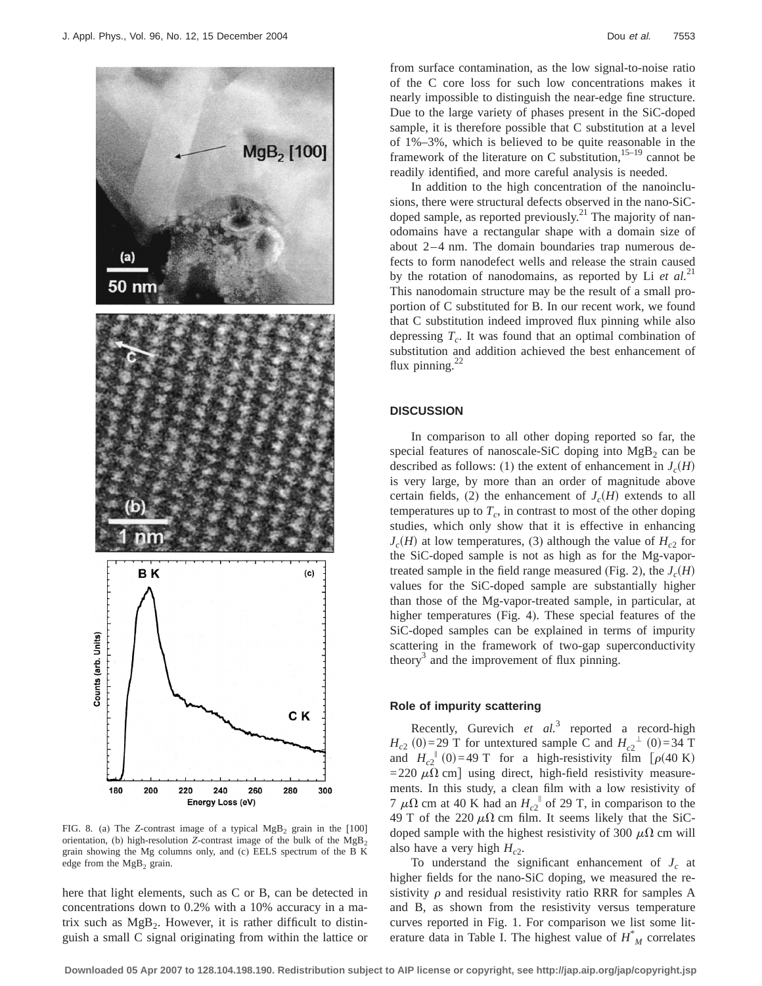

FIG. 8. (a) The *Z*-contrast image of a typical  $MgB_2$  grain in the [100] orientation, (b) high-resolution *Z*-contrast image of the bulk of the  $MgB_2$ grain showing the Mg columns only, and (c) EELS spectrum of the B K edge from the  $MgB<sub>2</sub>$  grain.

here that light elements, such as C or B, can be detected in concentrations down to 0.2% with a 10% accuracy in a matrix such as  $MgB<sub>2</sub>$ . However, it is rather difficult to distinguish a small C signal originating from within the lattice or from surface contamination, as the low signal-to-noise ratio of the C core loss for such low concentrations makes it nearly impossible to distinguish the near-edge fine structure. Due to the large variety of phases present in the SiC-doped sample, it is therefore possible that C substitution at a level of 1%–3%, which is believed to be quite reasonable in the framework of the literature on C substitution,  $15-19$  cannot be readily identified, and more careful analysis is needed.

In addition to the high concentration of the nanoinclusions, there were structural defects observed in the nano-SiCdoped sample, as reported previously.<sup>21</sup> The majority of nanodomains have a rectangular shape with a domain size of about 2–4 nm. The domain boundaries trap numerous defects to form nanodefect wells and release the strain caused by the rotation of nanodomains, as reported by Li *et al.*<sup>21</sup> This nanodomain structure may be the result of a small proportion of C substituted for B. In our recent work, we found that C substitution indeed improved flux pinning while also depressing  $T_c$ . It was found that an optimal combination of substitution and addition achieved the best enhancement of flux pinning. $^{22}$ 

## **DISCUSSION**

In comparison to all other doping reported so far, the special features of nanoscale-SiC doping into  $MgB<sub>2</sub>$  can be described as follows: (1) the extent of enhancement in  $J_c(H)$ is very large, by more than an order of magnitude above certain fields, (2) the enhancement of  $J_c(H)$  extends to all temperatures up to  $T_c$ , in contrast to most of the other doping studies, which only show that it is effective in enhancing  $J_c(H)$  at low temperatures, (3) although the value of  $H_{c2}$  for the SiC-doped sample is not as high as for the Mg-vaportreated sample in the field range measured (Fig. 2), the  $J_c(H)$ values for the SiC-doped sample are substantially higher than those of the Mg-vapor-treated sample, in particular, at higher temperatures (Fig. 4). These special features of the SiC-doped samples can be explained in terms of impurity scattering in the framework of two-gap superconductivity theory<sup>3</sup> and the improvement of flux pinning.

## **Role of impurity scattering**

Recently, Gurevich *et al.*<sup>3</sup> reported a record-high  $H_{c2}(0) = 29$  T for untextured sample C and  $H_{c2}^{\perp}(0) = 34$  T and  $H_{c2}^{0}$ <sup>(0)</sup>=49 T for a high-resistivity film [ $\rho$ (40 K) =220  $\mu\Omega$  cm] using direct, high-field resistivity measurements. In this study, a clean film with a low resistivity of 7  $\mu\Omega$  cm at 40 K had an  $H_{c2}$ <sup> $\parallel$ </sup> of 29 T, in comparison to the 49 T of the 220  $\mu\Omega$  cm film. It seems likely that the SiCdoped sample with the highest resistivity of 300  $\mu\Omega$  cm will also have a very high  $H_{c2}$ .

To understand the significant enhancement of  $J_c$  at higher fields for the nano-SiC doping, we measured the resistivity  $\rho$  and residual resistivity ratio RRR for samples A and B, as shown from the resistivity versus temperature curves reported in Fig. 1. For comparison we list some literature data in Table I. The highest value of *H*\* *<sup>M</sup>* correlates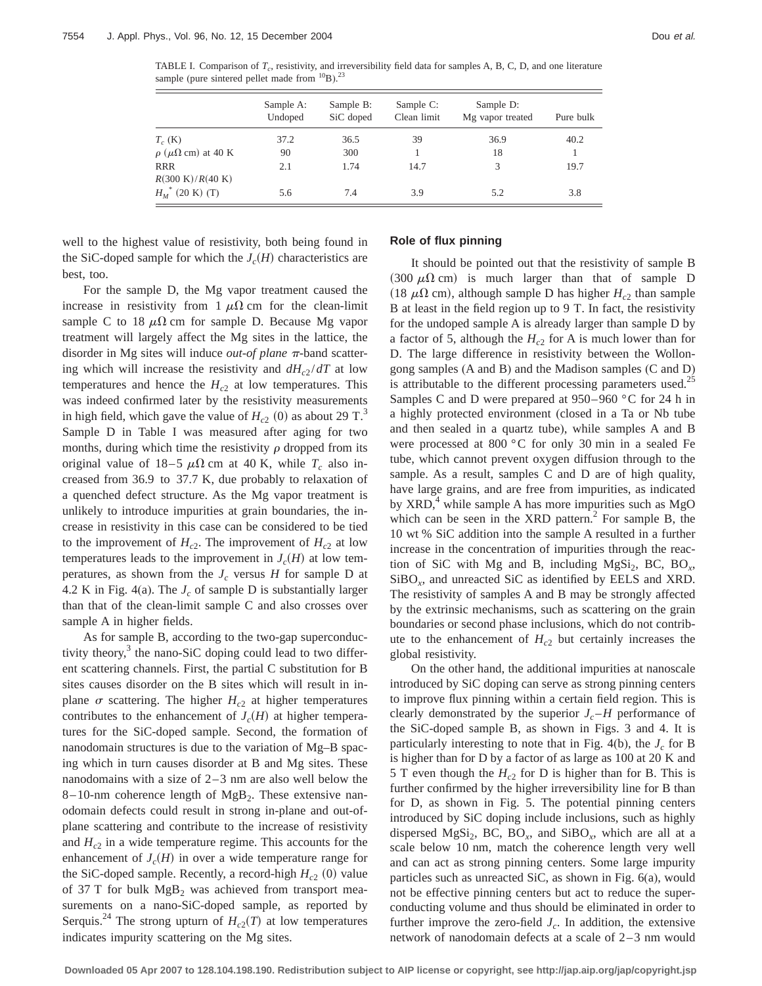TABLE I. Comparison of  $T_c$ , resistivity, and irreversibility field data for samples A, B, C, D, and one literature sample (pure sintered pellet made from  $^{10}B$ ).<sup>23</sup>

|                                                  | Sample A:<br>Undoped | Sample B:<br>SiC doped | Sample C:<br>Clean limit | Sample D:<br>Mg vapor treated | Pure bulk |
|--------------------------------------------------|----------------------|------------------------|--------------------------|-------------------------------|-----------|
| $T_c$ (K)                                        | 37.2                 | 36.5                   | 39                       | 36.9                          | 40.2      |
| $\rho$ ( $\mu\Omega$ cm) at 40 K                 | 90                   | 300                    |                          | 18                            |           |
| <b>RRR</b><br>$R(300 \text{ K})/R(40 \text{ K})$ | 2.1                  | 1.74                   | 14.7                     | 3                             | 19.7      |
| $H_{M}^{*}$ (20 K) (T)                           | 5.6                  | 7.4                    | 3.9                      | 5.2                           | 3.8       |

well to the highest value of resistivity, both being found in the SiC-doped sample for which the  $J_c(H)$  characteristics are best, too.

For the sample D, the Mg vapor treatment caused the increase in resistivity from 1  $\mu\Omega$  cm for the clean-limit sample C to 18  $\mu\Omega$  cm for sample D. Because Mg vapor treatment will largely affect the Mg sites in the lattice, the disorder in Mg sites will induce *out-of plane*  $\pi$ -band scattering which will increase the resistivity and  $dH_{c2}/dT$  at low temperatures and hence the  $H_{c2}$  at low temperatures. This was indeed confirmed later by the resistivity measurements in high field, which gave the value of  $H_{c2}$  (0) as about 29 T.<sup>3</sup> Sample D in Table I was measured after aging for two months, during which time the resistivity  $\rho$  dropped from its original value of  $18-5 \mu\Omega$  cm at 40 K, while  $T_c$  also increased from 36.9 to 37.7 K, due probably to relaxation of a quenched defect structure. As the Mg vapor treatment is unlikely to introduce impurities at grain boundaries, the increase in resistivity in this case can be considered to be tied to the improvement of  $H_{c2}$ . The improvement of  $H_{c2}$  at low temperatures leads to the improvement in  $J_c(H)$  at low temperatures, as shown from the  $J_c$  versus  $H$  for sample  $D$  at 4.2 K in Fig. 4(a). The  $J_c$  of sample D is substantially larger than that of the clean-limit sample C and also crosses over sample A in higher fields.

As for sample B, according to the two-gap superconductivity theory, $3$  the nano-SiC doping could lead to two different scattering channels. First, the partial C substitution for B sites causes disorder on the B sites which will result in inplane  $\sigma$  scattering. The higher *H<sub>c2</sub>* at higher temperatures contributes to the enhancement of  $J_c(H)$  at higher temperatures for the SiC-doped sample. Second, the formation of nanodomain structures is due to the variation of Mg–B spacing which in turn causes disorder at B and Mg sites. These nanodomains with a size of 2–3 nm are also well below the 8–10-nm coherence length of  $MgB_2$ . These extensive nanodomain defects could result in strong in-plane and out-ofplane scattering and contribute to the increase of resistivity and  $H_{c2}$  in a wide temperature regime. This accounts for the enhancement of  $J_c(H)$  in over a wide temperature range for the SiC-doped sample. Recently, a record-high  $H_{c2}$  (0) value of 37 T for bulk  $MgB<sub>2</sub>$  was achieved from transport measurements on a nano-SiC-doped sample, as reported by Serquis.<sup>24</sup> The strong upturn of  $H_{c2}(T)$  at low temperatures indicates impurity scattering on the Mg sites.

## **Role of flux pinning**

It should be pointed out that the resistivity of sample B  $(300 \mu \Omega \text{ cm})$  is much larger than that of sample D (18  $\mu\Omega$  cm), although sample D has higher  $H_{c2}$  than sample B at least in the field region up to 9 T. In fact, the resistivity for the undoped sample A is already larger than sample D by a factor of 5, although the  $H_{c2}$  for A is much lower than for D. The large difference in resistivity between the Wollongong samples (A and B) and the Madison samples (C and D) is attributable to the different processing parameters used.<sup>25</sup> Samples C and D were prepared at 950–960 °C for 24 h in a highly protected environment (closed in a Ta or Nb tube and then sealed in a quartz tube), while samples A and B were processed at 800 °C for only 30 min in a sealed Fe tube, which cannot prevent oxygen diffusion through to the sample. As a result, samples C and D are of high quality, have large grains, and are free from impurities, as indicated by  $XRD$ ,<sup>4</sup> while sample A has more impurities such as  $MgO$ which can be seen in the XRD pattern.<sup>2</sup> For sample B, the 10 wt % SiC addition into the sample A resulted in a further increase in the concentration of impurities through the reaction of SiC with Mg and B, including MgSi<sub>2</sub>, BC, BO<sub>x</sub>, SiBO*x*, and unreacted SiC as identified by EELS and XRD. The resistivity of samples A and B may be strongly affected by the extrinsic mechanisms, such as scattering on the grain boundaries or second phase inclusions, which do not contribute to the enhancement of  $H_{c2}$  but certainly increases the global resistivity.

On the other hand, the additional impurities at nanoscale introduced by SiC doping can serve as strong pinning centers to improve flux pinning within a certain field region. This is clearly demonstrated by the superior  $J_c$ –*H* performance of the SiC-doped sample B, as shown in Figs. 3 and 4. It is particularly interesting to note that in Fig.  $4(b)$ , the  $J_c$  for B is higher than for D by a factor of as large as 100 at 20 K and 5 T even though the  $H_{c2}$  for D is higher than for B. This is further confirmed by the higher irreversibility line for B than for D, as shown in Fig. 5. The potential pinning centers introduced by SiC doping include inclusions, such as highly dispersed MgSi<sub>2</sub>, BC, BO<sub>x</sub>, and SiBO<sub>x</sub>, which are all at a scale below 10 nm, match the coherence length very well and can act as strong pinning centers. Some large impurity particles such as unreacted SiC, as shown in Fig. 6(a), would not be effective pinning centers but act to reduce the superconducting volume and thus should be eliminated in order to further improve the zero-field  $J_c$ . In addition, the extensive network of nanodomain defects at a scale of 2–3 nm would